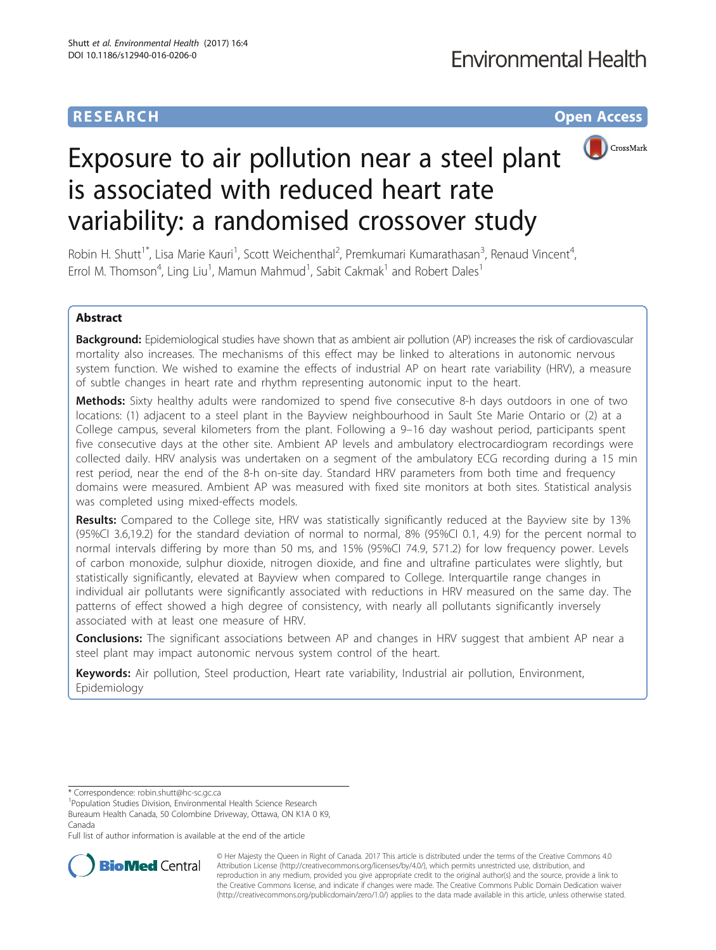# **RESEARCH CHE Open Access**



# Exposure to air pollution near a steel plant is associated with reduced heart rate variability: a randomised crossover study

Robin H. Shutt<sup>1\*</sup>, Lisa Marie Kauri<sup>1</sup>, Scott Weichenthal<sup>2</sup>, Premkumari Kumarathasan<sup>3</sup>, Renaud Vincent<sup>4</sup> , Errol M. Thomson<sup>4</sup>, Ling Liu<sup>1</sup>, Mamun Mahmud<sup>1</sup>, Sabit Cakmak<sup>1</sup> and Robert Dales<sup>1</sup>

# Abstract

Background: Epidemiological studies have shown that as ambient air pollution (AP) increases the risk of cardiovascular mortality also increases. The mechanisms of this effect may be linked to alterations in autonomic nervous system function. We wished to examine the effects of industrial AP on heart rate variability (HRV), a measure of subtle changes in heart rate and rhythm representing autonomic input to the heart.

Methods: Sixty healthy adults were randomized to spend five consecutive 8-h days outdoors in one of two locations: (1) adjacent to a steel plant in the Bayview neighbourhood in Sault Ste Marie Ontario or (2) at a College campus, several kilometers from the plant. Following a 9–16 day washout period, participants spent five consecutive days at the other site. Ambient AP levels and ambulatory electrocardiogram recordings were collected daily. HRV analysis was undertaken on a segment of the ambulatory ECG recording during a 15 min rest period, near the end of the 8-h on-site day. Standard HRV parameters from both time and frequency domains were measured. Ambient AP was measured with fixed site monitors at both sites. Statistical analysis was completed using mixed-effects models.

Results: Compared to the College site, HRV was statistically significantly reduced at the Bayview site by 13% (95%CI 3.6,19.2) for the standard deviation of normal to normal, 8% (95%CI 0.1, 4.9) for the percent normal to normal intervals differing by more than 50 ms, and 15% (95%CI 74.9, 571.2) for low frequency power. Levels of carbon monoxide, sulphur dioxide, nitrogen dioxide, and fine and ultrafine particulates were slightly, but statistically significantly, elevated at Bayview when compared to College. Interquartile range changes in individual air pollutants were significantly associated with reductions in HRV measured on the same day. The patterns of effect showed a high degree of consistency, with nearly all pollutants significantly inversely associated with at least one measure of HRV.

**Conclusions:** The significant associations between AP and changes in HRV suggest that ambient AP near a steel plant may impact autonomic nervous system control of the heart.

Keywords: Air pollution, Steel production, Heart rate variability, Industrial air pollution, Environment, Epidemiology

\* Correspondence: [robin.shutt@hc-sc.gc.ca](mailto:robin.shutt@hc-sc.gc.ca) <sup>1</sup>

<sup>1</sup>Population Studies Division, Environmental Health Science Research

Bureaum Health Canada, 50 Colombine Driveway, Ottawa, ON K1A 0 K9, Canada

Full list of author information is available at the end of the article



© Her Majesty the Queen in Right of Canada. 2017 This article is distributed under the terms of the Creative Commons 4.0 Attribution License ([http://creativecommons.org/licenses/by/4.0/\)](http://creativecommons.org/licenses/by/4.0/), which permits unrestricted use, distribution, and reproduction in any medium, provided you give appropriate credit to the original author(s) and the source, provide a link to the Creative Commons license, and indicate if changes were made. The Creative Commons Public Domain Dedication waiver [\(http://creativecommons.org/publicdomain/zero/1.0/](http://creativecommons.org/publicdomain/zero/1.0/)) applies to the data made available in this article, unless otherwise stated.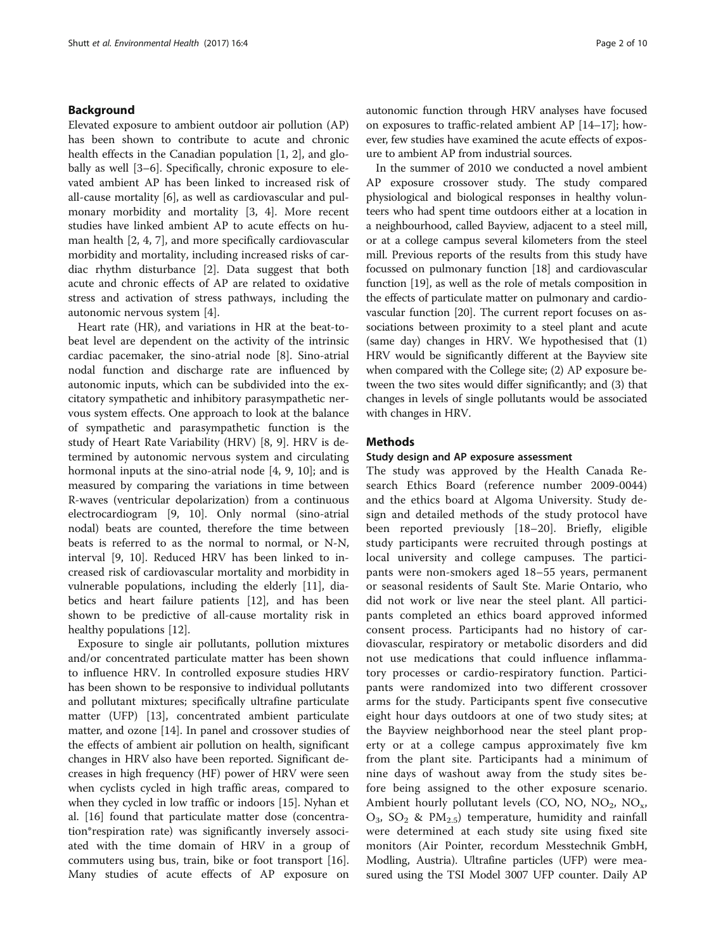# Background

Elevated exposure to ambient outdoor air pollution (AP) has been shown to contribute to acute and chronic health effects in the Canadian population [[1, 2](#page-8-0)], and globally as well [[3](#page-8-0)–[6\]](#page-8-0). Specifically, chronic exposure to elevated ambient AP has been linked to increased risk of all-cause mortality [[6\]](#page-8-0), as well as cardiovascular and pulmonary morbidity and mortality [\[3](#page-8-0), [4](#page-8-0)]. More recent studies have linked ambient AP to acute effects on human health [\[2, 4](#page-8-0), [7](#page-8-0)], and more specifically cardiovascular morbidity and mortality, including increased risks of cardiac rhythm disturbance [\[2](#page-8-0)]. Data suggest that both acute and chronic effects of AP are related to oxidative stress and activation of stress pathways, including the autonomic nervous system [[4\]](#page-8-0).

Heart rate (HR), and variations in HR at the beat-tobeat level are dependent on the activity of the intrinsic cardiac pacemaker, the sino-atrial node [[8\]](#page-8-0). Sino-atrial nodal function and discharge rate are influenced by autonomic inputs, which can be subdivided into the excitatory sympathetic and inhibitory parasympathetic nervous system effects. One approach to look at the balance of sympathetic and parasympathetic function is the study of Heart Rate Variability (HRV) [[8, 9](#page-8-0)]. HRV is determined by autonomic nervous system and circulating hormonal inputs at the sino-atrial node [[4, 9, 10](#page-8-0)]; and is measured by comparing the variations in time between R-waves (ventricular depolarization) from a continuous electrocardiogram [\[9](#page-8-0), [10](#page-8-0)]. Only normal (sino-atrial nodal) beats are counted, therefore the time between beats is referred to as the normal to normal, or N-N, interval [[9, 10\]](#page-8-0). Reduced HRV has been linked to increased risk of cardiovascular mortality and morbidity in vulnerable populations, including the elderly [[11\]](#page-8-0), diabetics and heart failure patients [[12](#page-8-0)], and has been shown to be predictive of all-cause mortality risk in healthy populations [\[12\]](#page-8-0).

Exposure to single air pollutants, pollution mixtures and/or concentrated particulate matter has been shown to influence HRV. In controlled exposure studies HRV has been shown to be responsive to individual pollutants and pollutant mixtures; specifically ultrafine particulate matter (UFP) [[13\]](#page-8-0), concentrated ambient particulate matter, and ozone [[14\]](#page-8-0). In panel and crossover studies of the effects of ambient air pollution on health, significant changes in HRV also have been reported. Significant decreases in high frequency (HF) power of HRV were seen when cyclists cycled in high traffic areas, compared to when they cycled in low traffic or indoors [[15\]](#page-9-0). Nyhan et al. [[16](#page-9-0)] found that particulate matter dose (concentration\*respiration rate) was significantly inversely associated with the time domain of HRV in a group of commuters using bus, train, bike or foot transport [\[16](#page-9-0)]. Many studies of acute effects of AP exposure on autonomic function through HRV analyses have focused on exposures to traffic-related ambient AP [\[14](#page-8-0)–[17\]](#page-9-0); however, few studies have examined the acute effects of exposure to ambient AP from industrial sources.

In the summer of 2010 we conducted a novel ambient AP exposure crossover study. The study compared physiological and biological responses in healthy volunteers who had spent time outdoors either at a location in a neighbourhood, called Bayview, adjacent to a steel mill, or at a college campus several kilometers from the steel mill. Previous reports of the results from this study have focussed on pulmonary function [[18](#page-9-0)] and cardiovascular function [\[19](#page-9-0)], as well as the role of metals composition in the effects of particulate matter on pulmonary and cardiovascular function [\[20\]](#page-9-0). The current report focuses on associations between proximity to a steel plant and acute (same day) changes in HRV. We hypothesised that (1) HRV would be significantly different at the Bayview site when compared with the College site; (2) AP exposure between the two sites would differ significantly; and (3) that changes in levels of single pollutants would be associated with changes in HRV.

# Methods

# Study design and AP exposure assessment

The study was approved by the Health Canada Research Ethics Board (reference number 2009-0044) and the ethics board at Algoma University. Study design and detailed methods of the study protocol have been reported previously [\[18](#page-9-0)–[20](#page-9-0)]. Briefly, eligible study participants were recruited through postings at local university and college campuses. The participants were non-smokers aged 18–55 years, permanent or seasonal residents of Sault Ste. Marie Ontario, who did not work or live near the steel plant. All participants completed an ethics board approved informed consent process. Participants had no history of cardiovascular, respiratory or metabolic disorders and did not use medications that could influence inflammatory processes or cardio-respiratory function. Participants were randomized into two different crossover arms for the study. Participants spent five consecutive eight hour days outdoors at one of two study sites; at the Bayview neighborhood near the steel plant property or at a college campus approximately five km from the plant site. Participants had a minimum of nine days of washout away from the study sites before being assigned to the other exposure scenario. Ambient hourly pollutant levels (CO, NO,  $NO<sub>2</sub>$ , NO<sub>x</sub>,  $O_3$ ,  $SO_2$  & PM<sub>2.5</sub>) temperature, humidity and rainfall were determined at each study site using fixed site monitors (Air Pointer, recordum Messtechnik GmbH, Modling, Austria). Ultrafine particles (UFP) were measured using the TSI Model 3007 UFP counter. Daily AP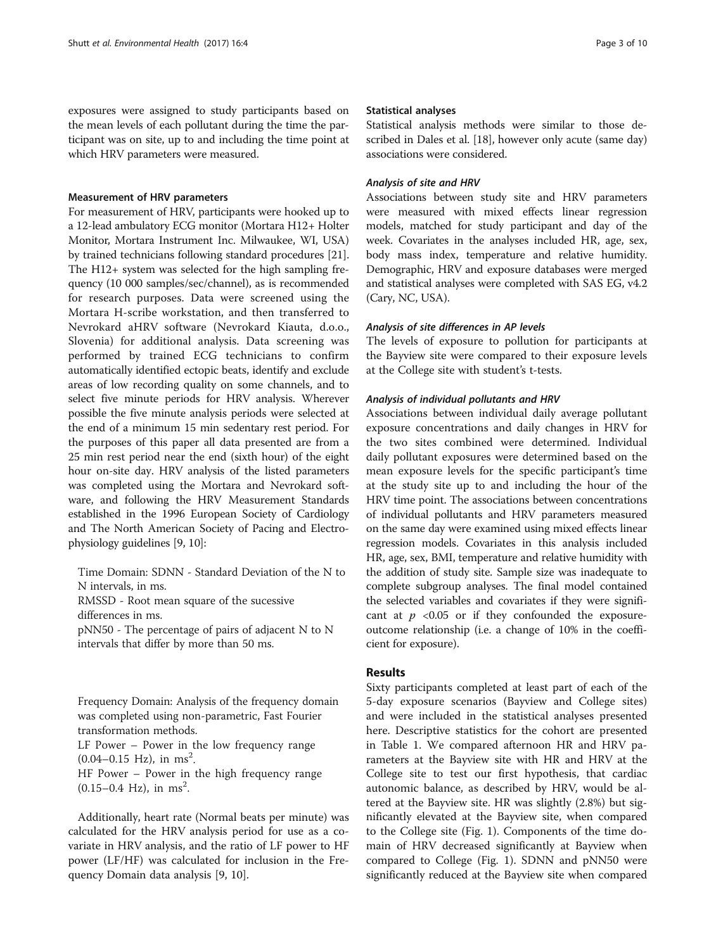exposures were assigned to study participants based on the mean levels of each pollutant during the time the participant was on site, up to and including the time point at which HRV parameters were measured.

# Measurement of HRV parameters

For measurement of HRV, participants were hooked up to a 12-lead ambulatory ECG monitor (Mortara H12+ Holter Monitor, Mortara Instrument Inc. Milwaukee, WI, USA) by trained technicians following standard procedures [[21](#page-9-0)]. The H12+ system was selected for the high sampling frequency (10 000 samples/sec/channel), as is recommended for research purposes. Data were screened using the Mortara H-scribe workstation, and then transferred to Nevrokard aHRV software (Nevrokard Kiauta, d.o.o., Slovenia) for additional analysis. Data screening was performed by trained ECG technicians to confirm automatically identified ectopic beats, identify and exclude areas of low recording quality on some channels, and to select five minute periods for HRV analysis. Wherever possible the five minute analysis periods were selected at the end of a minimum 15 min sedentary rest period. For the purposes of this paper all data presented are from a 25 min rest period near the end (sixth hour) of the eight hour on-site day. HRV analysis of the listed parameters was completed using the Mortara and Nevrokard software, and following the HRV Measurement Standards established in the 1996 European Society of Cardiology and The North American Society of Pacing and Electrophysiology guidelines [\[9](#page-8-0), [10](#page-8-0)]:

Time Domain: SDNN - Standard Deviation of the N to N intervals, in ms. RMSSD - Root mean square of the sucessive

differences in ms.

pNN50 - The percentage of pairs of adjacent N to N intervals that differ by more than 50 ms.

Frequency Domain: Analysis of the frequency domain was completed using non-parametric, Fast Fourier transformation methods. LF Power – Power in the low frequency range

 $(0.04 - 0.15$  Hz), in ms<sup>2</sup>.

HF Power – Power in the high frequency range  $(0.15-0.4$  Hz), in ms<sup>2</sup>.

Additionally, heart rate (Normal beats per minute) was calculated for the HRV analysis period for use as a covariate in HRV analysis, and the ratio of LF power to HF power (LF/HF) was calculated for inclusion in the Frequency Domain data analysis [\[9, 10\]](#page-8-0).

# Statistical analyses

Statistical analysis methods were similar to those described in Dales et al. [[18](#page-9-0)], however only acute (same day) associations were considered.

# Analysis of site and HRV

Associations between study site and HRV parameters were measured with mixed effects linear regression models, matched for study participant and day of the week. Covariates in the analyses included HR, age, sex, body mass index, temperature and relative humidity. Demographic, HRV and exposure databases were merged and statistical analyses were completed with SAS EG, v4.2 (Cary, NC, USA).

# Analysis of site differences in AP levels

The levels of exposure to pollution for participants at the Bayview site were compared to their exposure levels at the College site with student's t-tests.

# Analysis of individual pollutants and HRV

Associations between individual daily average pollutant exposure concentrations and daily changes in HRV for the two sites combined were determined. Individual daily pollutant exposures were determined based on the mean exposure levels for the specific participant's time at the study site up to and including the hour of the HRV time point. The associations between concentrations of individual pollutants and HRV parameters measured on the same day were examined using mixed effects linear regression models. Covariates in this analysis included HR, age, sex, BMI, temperature and relative humidity with the addition of study site. Sample size was inadequate to complete subgroup analyses. The final model contained the selected variables and covariates if they were significant at  $p \le 0.05$  or if they confounded the exposureoutcome relationship (i.e. a change of 10% in the coefficient for exposure).

# Results

Sixty participants completed at least part of each of the 5-day exposure scenarios (Bayview and College sites) and were included in the statistical analyses presented here. Descriptive statistics for the cohort are presented in Table [1.](#page-3-0) We compared afternoon HR and HRV parameters at the Bayview site with HR and HRV at the College site to test our first hypothesis, that cardiac autonomic balance, as described by HRV, would be altered at the Bayview site. HR was slightly (2.8%) but significantly elevated at the Bayview site, when compared to the College site (Fig. [1](#page-3-0)). Components of the time domain of HRV decreased significantly at Bayview when compared to College (Fig. [1](#page-3-0)). SDNN and pNN50 were significantly reduced at the Bayview site when compared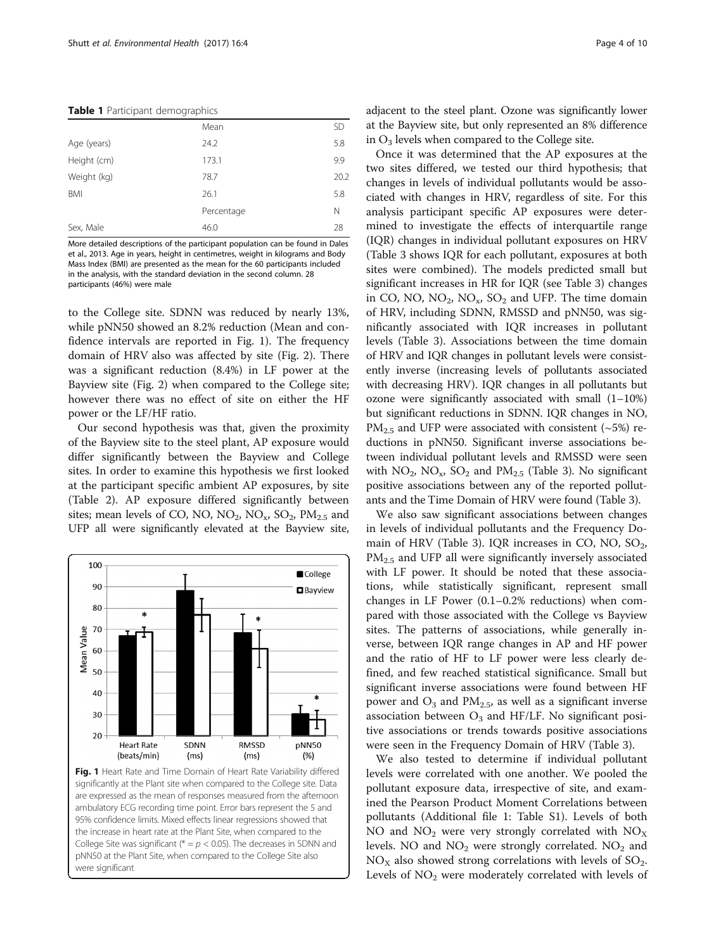<span id="page-3-0"></span>

|  |  | Table 1 Participant demographics |  |
|--|--|----------------------------------|--|
|--|--|----------------------------------|--|

|             | Mean       | <b>SD</b> |
|-------------|------------|-----------|
| Age (years) | 24.2       | 5.8       |
| Height (cm) | 173.1      | 9.9       |
| Weight (kg) | 78.7       | 20.2      |
| BMI         | 26.1       | 5.8       |
|             | Percentage | Ν         |
| Sex, Male   | 46.0       | 28        |
|             |            |           |

More detailed descriptions of the participant population can be found in Dales et al., 2013. Age in years, height in centimetres, weight in kilograms and Body Mass Index (BMI) are presented as the mean for the 60 participants included in the analysis, with the standard deviation in the second column. 28 participants (46%) were male

to the College site. SDNN was reduced by nearly 13%, while pNN50 showed an 8.2% reduction (Mean and confidence intervals are reported in Fig. 1). The frequency domain of HRV also was affected by site (Fig. [2](#page-4-0)). There was a significant reduction (8.4%) in LF power at the Bayview site (Fig. [2\)](#page-4-0) when compared to the College site; however there was no effect of site on either the HF power or the LF/HF ratio.

Our second hypothesis was that, given the proximity of the Bayview site to the steel plant, AP exposure would differ significantly between the Bayview and College sites. In order to examine this hypothesis we first looked at the participant specific ambient AP exposures, by site (Table [2\)](#page-4-0). AP exposure differed significantly between sites; mean levels of CO, NO,  $NO_2$ ,  $NO_x$ ,  $SO_2$ ,  $PM_{2.5}$  and UFP all were significantly elevated at the Bayview site,



significantly at the Plant site when compared to the College site. Data are expressed as the mean of responses measured from the afternoon ambulatory ECG recording time point. Error bars represent the 5 and 95% confidence limits. Mixed effects linear regressions showed that the increase in heart rate at the Plant Site, when compared to the College Site was significant ( $* = p < 0.05$ ). The decreases in SDNN and pNN50 at the Plant Site, when compared to the College Site also were significant

adjacent to the steel plant. Ozone was significantly lower at the Bayview site, but only represented an 8% difference in  $O_3$  levels when compared to the College site.

Once it was determined that the AP exposures at the two sites differed, we tested our third hypothesis; that changes in levels of individual pollutants would be associated with changes in HRV, regardless of site. For this analysis participant specific AP exposures were determined to investigate the effects of interquartile range (IQR) changes in individual pollutant exposures on HRV (Table [3](#page-5-0) shows IQR for each pollutant, exposures at both sites were combined). The models predicted small but significant increases in HR for IQR (see Table [3\)](#page-5-0) changes in CO, NO,  $NO_2$ ,  $NO_x$ ,  $SO_2$  and UFP. The time domain of HRV, including SDNN, RMSSD and pNN50, was significantly associated with IQR increases in pollutant levels (Table [3\)](#page-5-0). Associations between the time domain of HRV and IQR changes in pollutant levels were consistently inverse (increasing levels of pollutants associated with decreasing HRV). IQR changes in all pollutants but ozone were significantly associated with small (1–10%) but significant reductions in SDNN. IQR changes in NO,  $PM_{2.5}$  and UFP were associated with consistent (~5%) reductions in pNN50. Significant inverse associations between individual pollutant levels and RMSSD were seen with  $NO_2$ ,  $NO_x$ ,  $SO_2$  and  $PM_{2.5}$  (Table [3\)](#page-5-0). No significant positive associations between any of the reported pollutants and the Time Domain of HRV were found (Table [3](#page-5-0)).

We also saw significant associations between changes in levels of individual pollutants and the Frequency Do-main of HRV (Table [3\)](#page-5-0). IQR increases in CO, NO,  $SO_2$ ,  $PM<sub>2.5</sub>$  and UFP all were significantly inversely associated with LF power. It should be noted that these associations, while statistically significant, represent small changes in LF Power (0.1–0.2% reductions) when compared with those associated with the College vs Bayview sites. The patterns of associations, while generally inverse, between IQR range changes in AP and HF power and the ratio of HF to LF power were less clearly defined, and few reached statistical significance. Small but significant inverse associations were found between HF power and  $O_3$  and  $PM_{2,5}$ , as well as a significant inverse association between  $O_3$  and HF/LF. No significant positive associations or trends towards positive associations were seen in the Frequency Domain of HRV (Table [3\)](#page-5-0).

We also tested to determine if individual pollutant levels were correlated with one another. We pooled the pollutant exposure data, irrespective of site, and examined the Pearson Product Moment Correlations between pollutants (Additional file [1](#page-8-0): Table S1). Levels of both NO and  $NO<sub>2</sub>$  were very strongly correlated with  $NO<sub>X</sub>$ levels. NO and  $NO<sub>2</sub>$  were strongly correlated. NO<sub>2</sub> and  $NO<sub>X</sub>$  also showed strong correlations with levels of  $SO<sub>2</sub>$ . Levels of  $NO<sub>2</sub>$  were moderately correlated with levels of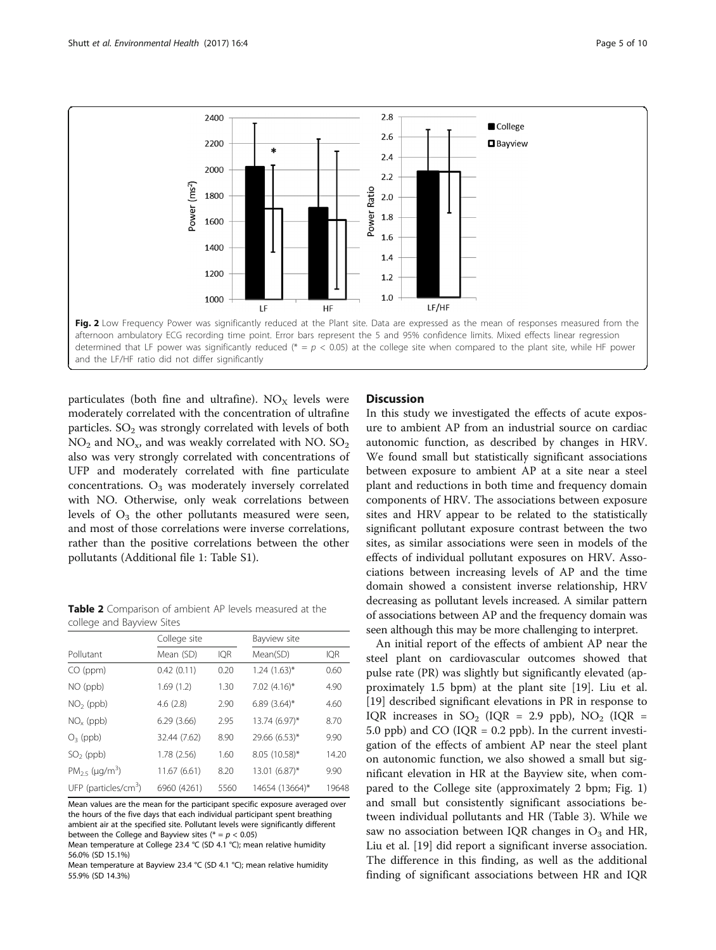<span id="page-4-0"></span>

particulates (both fine and ultrafine).  $NO<sub>X</sub>$  levels were moderately correlated with the concentration of ultrafine particles.  $SO<sub>2</sub>$  was strongly correlated with levels of both  $NO<sub>2</sub>$  and  $NO<sub>x</sub>$ , and was weakly correlated with NO.  $SO<sub>2</sub>$ also was very strongly correlated with concentrations of UFP and moderately correlated with fine particulate concentrations.  $O_3$  was moderately inversely correlated with NO. Otherwise, only weak correlations between levels of  $O_3$  the other pollutants measured were seen, and most of those correlations were inverse correlations, rather than the positive correlations between the other pollutants (Additional file [1:](#page-8-0) Table S1).

Table 2 Comparison of ambient AP levels measured at the college and Bayview Sites

|                                  | College site |            | Bayview site      |            |  |
|----------------------------------|--------------|------------|-------------------|------------|--|
| Pollutant                        | Mean (SD)    | <b>IQR</b> | Mean(SD)          | <b>IQR</b> |  |
| CO (ppm)                         | 0.42(0.11)   | 0.20       | $1.24$ $(1.63)$ * | 0.60       |  |
| NO (ppb)                         | 1.69(1.2)    | 1.30       | $7.02$ $(4.16)^*$ | 4.90       |  |
| $NO2$ (ppb)                      | 4.6(2.8)     | 2.90       | 6.89 $(3.64)$ *   | 4.60       |  |
| $NOx$ (ppb)                      | 6.29(3.66)   | 2.95       | 13.74 (6.97)*     | 8.70       |  |
| $O_3$ (ppb)                      | 32.44 (7.62) | 8.90       | 29.66 (6.53)*     | 9.90       |  |
| $SO2$ (ppb)                      | 1.78(2.56)   | 1.60       | 8.05 (10.58)*     | 14.20      |  |
| $PM_{2.5}$ (µg/m <sup>3</sup> )  | 11.67 (6.61) | 8.20       | 13.01 (6.87)*     | 9.90       |  |
| UFP (particles/cm <sup>3</sup> ) | 6960 (4261)  | 5560       | 14654 (13664)*    | 19648      |  |

Mean values are the mean for the participant specific exposure averaged over the hours of the five days that each individual participant spent breathing ambient air at the specified site. Pollutant levels were significantly different between the College and Bayview sites ( $* = p < 0.05$ )

Mean temperature at College 23.4 °C (SD 4.1 °C); mean relative humidity 56.0% (SD 15.1%)

Mean temperature at Bayview 23.4 °C (SD 4.1 °C); mean relative humidity 55.9% (SD 14.3%)

# **Discussion**

In this study we investigated the effects of acute exposure to ambient AP from an industrial source on cardiac autonomic function, as described by changes in HRV. We found small but statistically significant associations between exposure to ambient AP at a site near a steel plant and reductions in both time and frequency domain components of HRV. The associations between exposure sites and HRV appear to be related to the statistically significant pollutant exposure contrast between the two sites, as similar associations were seen in models of the effects of individual pollutant exposures on HRV. Associations between increasing levels of AP and the time domain showed a consistent inverse relationship, HRV decreasing as pollutant levels increased. A similar pattern of associations between AP and the frequency domain was seen although this may be more challenging to interpret.

An initial report of the effects of ambient AP near the steel plant on cardiovascular outcomes showed that pulse rate (PR) was slightly but significantly elevated (approximately 1.5 bpm) at the plant site [[19\]](#page-9-0). Liu et al. [[19\]](#page-9-0) described significant elevations in PR in response to IQR increases in  $SO_2$  (IQR = 2.9 ppb),  $NO_2$  (IQR = 5.0 ppb) and CO ( $IQR = 0.2$  ppb). In the current investigation of the effects of ambient AP near the steel plant on autonomic function, we also showed a small but significant elevation in HR at the Bayview site, when compared to the College site (approximately 2 bpm; Fig. [1](#page-3-0)) and small but consistently significant associations between individual pollutants and HR (Table [3](#page-5-0)). While we saw no association between IQR changes in  $O_3$  and HR, Liu et al. [\[19\]](#page-9-0) did report a significant inverse association. The difference in this finding, as well as the additional finding of significant associations between HR and IQR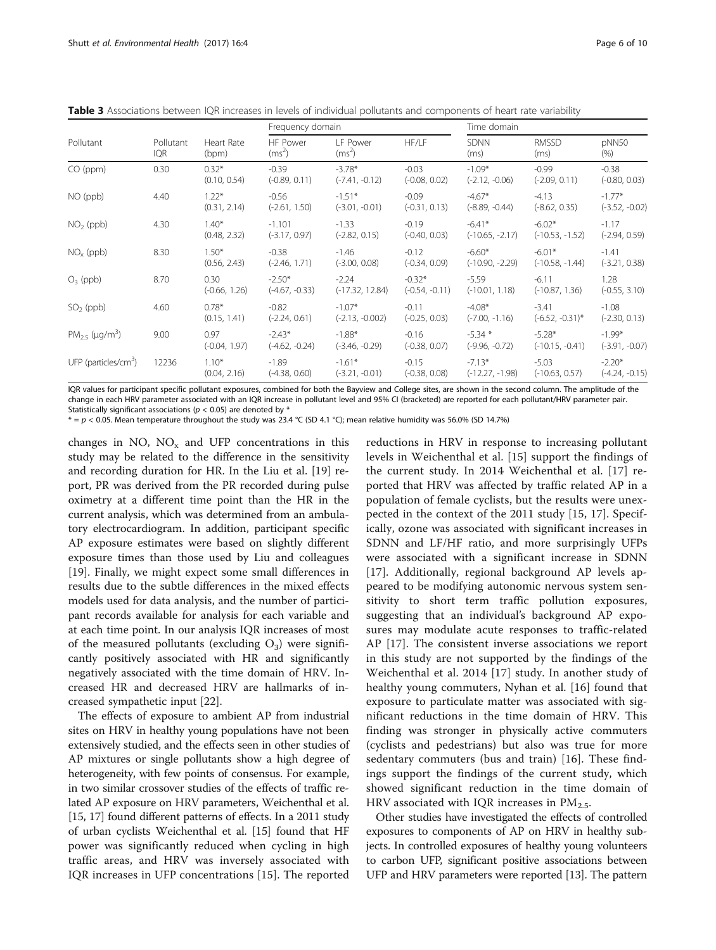<span id="page-5-0"></span>Table 3 Associations between IQR increases in levels of individual pollutants and components of heart rate variability

| Pollutant                        | Pollutant<br>IQR | Heart Rate<br>(bpm)     | Frequency domain             |                               | Time domain                  |                               |                               |                              |
|----------------------------------|------------------|-------------------------|------------------------------|-------------------------------|------------------------------|-------------------------------|-------------------------------|------------------------------|
|                                  |                  |                         | HF Power<br>$(ms^2)$         | <b>IF Power</b><br>$(ms^2)$   | HF/LF                        | <b>SDNN</b><br>(ms)           | <b>RMSSD</b><br>(ms)          | pNN50<br>(% )                |
| $CO$ (ppm)                       | 0.30             | $0.32*$<br>(0.10, 0.54) | $-0.39$<br>$(-0.89, 0.11)$   | $-3.78*$<br>$(-7.41, -0.12)$  | $-0.03$<br>$(-0.08, 0.02)$   | $-1.09*$<br>$(-2.12, -0.06)$  | $-0.99$<br>$(-2.09, 0.11)$    | $-0.38$<br>$(-0.80, 0.03)$   |
| NO (ppb)                         | 4.40             | $1.22*$<br>(0.31, 2.14) | $-0.56$<br>$(-2.61, 1.50)$   | $-1.51*$<br>$(-3.01, -0.01)$  | $-0.09$<br>$(-0.31, 0.13)$   | $-4.67*$<br>$(-8.89, -0.44)$  | $-4.13$<br>$(-8.62, 0.35)$    | $-1.77*$<br>$(-3.52, -0.02)$ |
| $NO2$ (ppb)                      | 4.30             | $1.40*$<br>(0.48, 2.32) | $-1.101$<br>$(-3.17, 0.97)$  | $-1.33$<br>$(-2.82, 0.15)$    | $-0.19$<br>$(-0.40, 0.03)$   | $-6.41*$<br>$(-10.65, -2.17)$ | $-6.02*$<br>$(-10.53, -1.52)$ | $-1.17$<br>$(-2.94, 0.59)$   |
| $NOx$ (ppb)                      | 8.30             | $1.50*$<br>(0.56, 2.43) | $-0.38$<br>$(-2.46, 1.71)$   | $-1.46$<br>$(-3.00, 0.08)$    | $-0.12$<br>$(-0.34, 0.09)$   | $-6.60*$<br>$(-10.90, -2.29)$ | $-6.01*$<br>$(-10.58, -1.44)$ | $-1.41$<br>$(-3.21, 0.38)$   |
| $O_3$ (ppb)                      | 8.70             | 0.30<br>$(-0.66, 1.26)$ | $-2.50*$<br>$(-4.67, -0.33)$ | $-2.24$<br>$(-17.32, 12.84)$  | $-0.32*$<br>$(-0.54, -0.11)$ | $-5.59$<br>$(-10.01, 1.18)$   | $-6.11$<br>$(-10.87, 1.36)$   | 1.28<br>$(-0.55, 3.10)$      |
| $SO2$ (ppb)                      | 4.60             | $0.78*$<br>(0.15, 1.41) | $-0.82$<br>$(-2.24, 0.61)$   | $-1.07*$<br>$(-2.13, -0.002)$ | $-0.11$<br>$(-0.25, 0.03)$   | $-4.08*$<br>$(-7.00, -1.16)$  | $-3.41$<br>$(-6.52, -0.31)^*$ | $-1.08$<br>$(-2.30, 0.13)$   |
| $PM_{25}$ (µg/m <sup>3</sup> )   | 9.00             | 0.97<br>$(-0.04, 1.97)$ | $-2.43*$<br>$(-4.62, -0.24)$ | $-1.88*$<br>$(-3.46, -0.29)$  | $-0.16$<br>$(-0.38, 0.07)$   | $-5.34$ *<br>$(-9.96, -0.72)$ | $-5.28*$<br>$(-10.15, -0.41)$ | $-1.99*$<br>$(-3.91, -0.07)$ |
| UFP (particles/cm <sup>3</sup> ) | 12236            | $1.10*$<br>(0.04, 2.16) | $-1.89$<br>$(-4.38, 0.60)$   | $-1.61*$<br>$(-3.21, -0.01)$  | $-0.15$<br>$(-0.38, 0.08)$   | $-7.13*$<br>$(-12.27, -1.98)$ | $-5.03$<br>$(-10.63, 0.57)$   | $-2.20*$<br>$(-4.24, -0.15)$ |

IQR values for participant specific pollutant exposures, combined for both the Bayview and College sites, are shown in the second column. The amplitude of the change in each HRV parameter associated with an IQR increase in pollutant level and 95% CI (bracketed) are reported for each pollutant/HRV parameter pair. Statistically significant associations ( $p < 0.05$ ) are denoted by  $\frac{1}{2}$ 

 $* = p < 0.05$ . Mean temperature throughout the study was 23.4 °C (SD 4.1 °C); mean relative humidity was 56.0% (SD 14.7%)

changes in NO,  $NO<sub>x</sub>$  and UFP concentrations in this study may be related to the difference in the sensitivity and recording duration for HR. In the Liu et al. [\[19](#page-9-0)] report, PR was derived from the PR recorded during pulse oximetry at a different time point than the HR in the current analysis, which was determined from an ambulatory electrocardiogram. In addition, participant specific AP exposure estimates were based on slightly different exposure times than those used by Liu and colleagues [[19\]](#page-9-0). Finally, we might expect some small differences in results due to the subtle differences in the mixed effects models used for data analysis, and the number of participant records available for analysis for each variable and at each time point. In our analysis IQR increases of most of the measured pollutants (excluding  $O_3$ ) were significantly positively associated with HR and significantly negatively associated with the time domain of HRV. Increased HR and decreased HRV are hallmarks of increased sympathetic input [[22\]](#page-9-0).

The effects of exposure to ambient AP from industrial sites on HRV in healthy young populations have not been extensively studied, and the effects seen in other studies of AP mixtures or single pollutants show a high degree of heterogeneity, with few points of consensus. For example, in two similar crossover studies of the effects of traffic related AP exposure on HRV parameters, Weichenthal et al. [[15](#page-9-0), [17\]](#page-9-0) found different patterns of effects. In a 2011 study of urban cyclists Weichenthal et al. [[15\]](#page-9-0) found that HF power was significantly reduced when cycling in high traffic areas, and HRV was inversely associated with IQR increases in UFP concentrations [\[15](#page-9-0)]. The reported

reductions in HRV in response to increasing pollutant levels in Weichenthal et al. [\[15](#page-9-0)] support the findings of the current study. In 2014 Weichenthal et al. [\[17](#page-9-0)] reported that HRV was affected by traffic related AP in a population of female cyclists, but the results were unexpected in the context of the 2011 study [[15](#page-9-0), [17](#page-9-0)]. Specifically, ozone was associated with significant increases in SDNN and LF/HF ratio, and more surprisingly UFPs were associated with a significant increase in SDNN [[17\]](#page-9-0). Additionally, regional background AP levels appeared to be modifying autonomic nervous system sensitivity to short term traffic pollution exposures, suggesting that an individual's background AP exposures may modulate acute responses to traffic-related AP [[17\]](#page-9-0). The consistent inverse associations we report in this study are not supported by the findings of the Weichenthal et al. 2014 [[17\]](#page-9-0) study. In another study of healthy young commuters, Nyhan et al. [[16\]](#page-9-0) found that exposure to particulate matter was associated with significant reductions in the time domain of HRV. This finding was stronger in physically active commuters (cyclists and pedestrians) but also was true for more sedentary commuters (bus and train) [\[16](#page-9-0)]. These findings support the findings of the current study, which showed significant reduction in the time domain of HRV associated with IQR increases in  $PM_{2.5}$ .

Other studies have investigated the effects of controlled exposures to components of AP on HRV in healthy subjects. In controlled exposures of healthy young volunteers to carbon UFP, significant positive associations between UFP and HRV parameters were reported [[13](#page-8-0)]. The pattern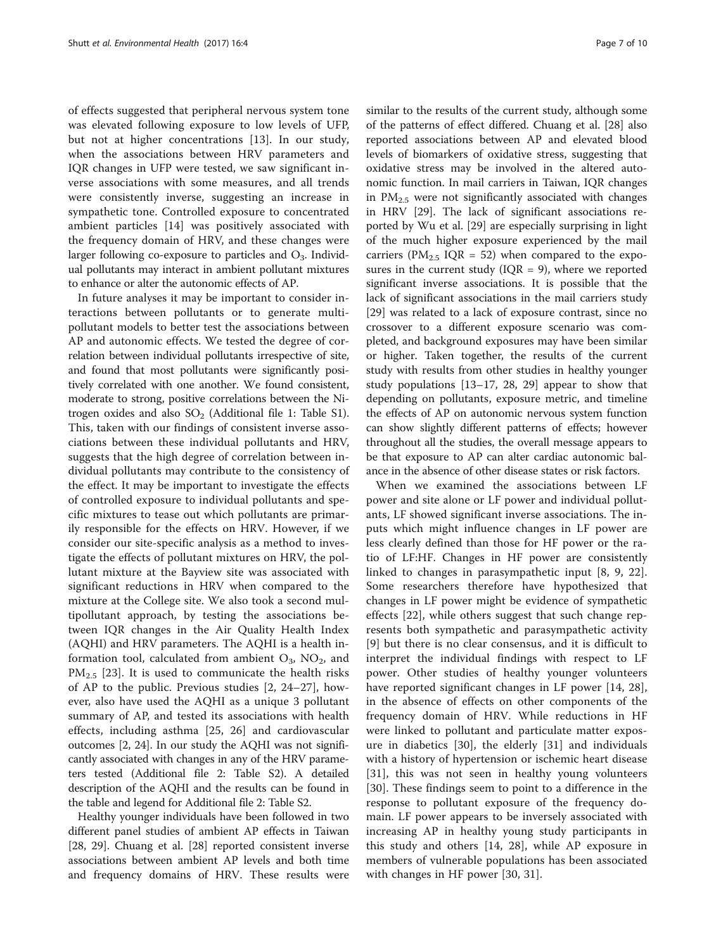of effects suggested that peripheral nervous system tone was elevated following exposure to low levels of UFP, but not at higher concentrations [[13\]](#page-8-0). In our study, when the associations between HRV parameters and IQR changes in UFP were tested, we saw significant inverse associations with some measures, and all trends were consistently inverse, suggesting an increase in sympathetic tone. Controlled exposure to concentrated ambient particles [[14\]](#page-8-0) was positively associated with the frequency domain of HRV, and these changes were larger following co-exposure to particles and  $O_3$ . Individual pollutants may interact in ambient pollutant mixtures to enhance or alter the autonomic effects of AP.

In future analyses it may be important to consider interactions between pollutants or to generate multipollutant models to better test the associations between AP and autonomic effects. We tested the degree of correlation between individual pollutants irrespective of site, and found that most pollutants were significantly positively correlated with one another. We found consistent, moderate to strong, positive correlations between the Nitrogen oxides and also  $SO<sub>2</sub>$  (Additional file [1](#page-8-0): Table S1). This, taken with our findings of consistent inverse associations between these individual pollutants and HRV, suggests that the high degree of correlation between individual pollutants may contribute to the consistency of the effect. It may be important to investigate the effects of controlled exposure to individual pollutants and specific mixtures to tease out which pollutants are primarily responsible for the effects on HRV. However, if we consider our site-specific analysis as a method to investigate the effects of pollutant mixtures on HRV, the pollutant mixture at the Bayview site was associated with significant reductions in HRV when compared to the mixture at the College site. We also took a second multipollutant approach, by testing the associations between IQR changes in the Air Quality Health Index (AQHI) and HRV parameters. The AQHI is a health information tool, calculated from ambient  $O_3$ ,  $NO_2$ , and  $PM_{2.5}$  [[23\]](#page-9-0). It is used to communicate the health risks of AP to the public. Previous studies [[2,](#page-8-0) [24](#page-9-0)–[27\]](#page-9-0), however, also have used the AQHI as a unique 3 pollutant summary of AP, and tested its associations with health effects, including asthma [[25, 26\]](#page-9-0) and cardiovascular outcomes [[2,](#page-8-0) [24\]](#page-9-0). In our study the AQHI was not significantly associated with changes in any of the HRV parameters tested (Additional file [2](#page-8-0): Table S2). A detailed description of the AQHI and the results can be found in the table and legend for Additional file [2](#page-8-0): Table S2.

Healthy younger individuals have been followed in two different panel studies of ambient AP effects in Taiwan [[28, 29\]](#page-9-0). Chuang et al. [[28\]](#page-9-0) reported consistent inverse associations between ambient AP levels and both time and frequency domains of HRV. These results were similar to the results of the current study, although some of the patterns of effect differed. Chuang et al. [\[28\]](#page-9-0) also reported associations between AP and elevated blood levels of biomarkers of oxidative stress, suggesting that oxidative stress may be involved in the altered autonomic function. In mail carriers in Taiwan, IQR changes in  $PM_{2.5}$  were not significantly associated with changes in HRV [\[29](#page-9-0)]. The lack of significant associations reported by Wu et al. [[29\]](#page-9-0) are especially surprising in light of the much higher exposure experienced by the mail carriers ( $PM_{2.5}$  IQR = 52) when compared to the exposures in the current study ( $IQR = 9$ ), where we reported significant inverse associations. It is possible that the lack of significant associations in the mail carriers study [[29\]](#page-9-0) was related to a lack of exposure contrast, since no crossover to a different exposure scenario was completed, and background exposures may have been similar or higher. Taken together, the results of the current study with results from other studies in healthy younger study populations [[13](#page-8-0)–[17](#page-9-0), [28](#page-9-0), [29\]](#page-9-0) appear to show that depending on pollutants, exposure metric, and timeline the effects of AP on autonomic nervous system function can show slightly different patterns of effects; however throughout all the studies, the overall message appears to be that exposure to AP can alter cardiac autonomic balance in the absence of other disease states or risk factors.

When we examined the associations between LF power and site alone or LF power and individual pollutants, LF showed significant inverse associations. The inputs which might influence changes in LF power are less clearly defined than those for HF power or the ratio of LF:HF. Changes in HF power are consistently linked to changes in parasympathetic input [[8, 9,](#page-8-0) [22](#page-9-0)]. Some researchers therefore have hypothesized that changes in LF power might be evidence of sympathetic effects [\[22](#page-9-0)], while others suggest that such change represents both sympathetic and parasympathetic activity [[9\]](#page-8-0) but there is no clear consensus, and it is difficult to interpret the individual findings with respect to LF power. Other studies of healthy younger volunteers have reported significant changes in LF power [\[14](#page-8-0), [28](#page-9-0)], in the absence of effects on other components of the frequency domain of HRV. While reductions in HF were linked to pollutant and particulate matter exposure in diabetics [[30\]](#page-9-0), the elderly [\[31](#page-9-0)] and individuals with a history of hypertension or ischemic heart disease [[31\]](#page-9-0), this was not seen in healthy young volunteers [[30\]](#page-9-0). These findings seem to point to a difference in the response to pollutant exposure of the frequency domain. LF power appears to be inversely associated with increasing AP in healthy young study participants in this study and others [\[14](#page-8-0), [28](#page-9-0)], while AP exposure in members of vulnerable populations has been associated with changes in HF power [[30, 31\]](#page-9-0).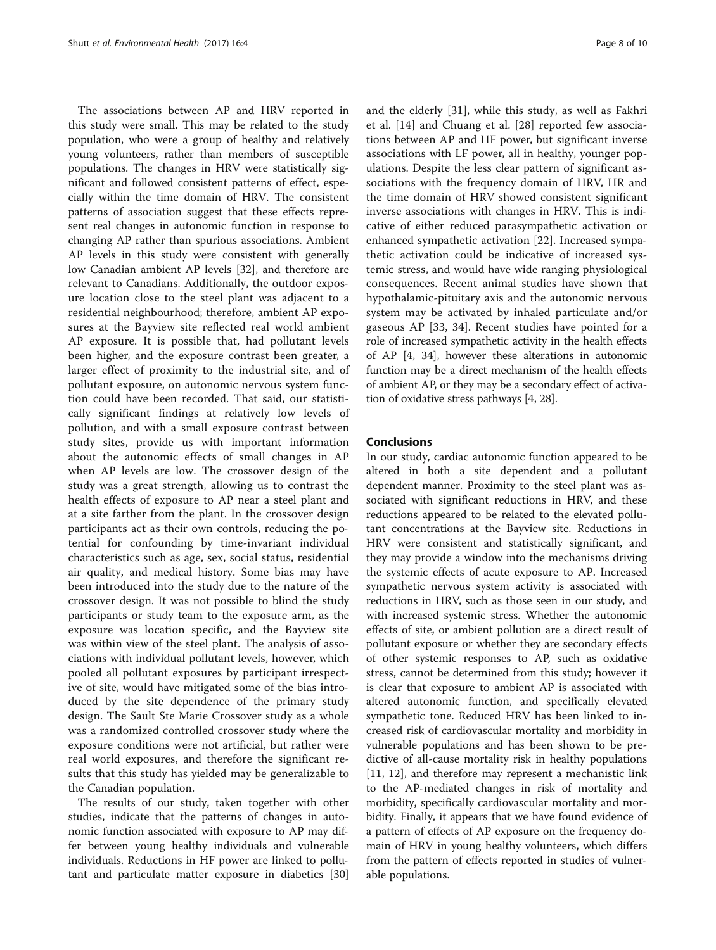The associations between AP and HRV reported in this study were small. This may be related to the study population, who were a group of healthy and relatively young volunteers, rather than members of susceptible populations. The changes in HRV were statistically significant and followed consistent patterns of effect, especially within the time domain of HRV. The consistent patterns of association suggest that these effects represent real changes in autonomic function in response to changing AP rather than spurious associations. Ambient AP levels in this study were consistent with generally low Canadian ambient AP levels [[32](#page-9-0)], and therefore are relevant to Canadians. Additionally, the outdoor exposure location close to the steel plant was adjacent to a residential neighbourhood; therefore, ambient AP exposures at the Bayview site reflected real world ambient AP exposure. It is possible that, had pollutant levels been higher, and the exposure contrast been greater, a larger effect of proximity to the industrial site, and of pollutant exposure, on autonomic nervous system function could have been recorded. That said, our statistically significant findings at relatively low levels of pollution, and with a small exposure contrast between study sites, provide us with important information about the autonomic effects of small changes in AP when AP levels are low. The crossover design of the study was a great strength, allowing us to contrast the health effects of exposure to AP near a steel plant and at a site farther from the plant. In the crossover design participants act as their own controls, reducing the potential for confounding by time-invariant individual characteristics such as age, sex, social status, residential air quality, and medical history. Some bias may have been introduced into the study due to the nature of the crossover design. It was not possible to blind the study participants or study team to the exposure arm, as the exposure was location specific, and the Bayview site was within view of the steel plant. The analysis of associations with individual pollutant levels, however, which pooled all pollutant exposures by participant irrespective of site, would have mitigated some of the bias introduced by the site dependence of the primary study design. The Sault Ste Marie Crossover study as a whole was a randomized controlled crossover study where the exposure conditions were not artificial, but rather were real world exposures, and therefore the significant results that this study has yielded may be generalizable to the Canadian population.

The results of our study, taken together with other studies, indicate that the patterns of changes in autonomic function associated with exposure to AP may differ between young healthy individuals and vulnerable individuals. Reductions in HF power are linked to pollutant and particulate matter exposure in diabetics [[30](#page-9-0)]

and the elderly [\[31](#page-9-0)], while this study, as well as Fakhri et al. [\[14](#page-8-0)] and Chuang et al. [[28\]](#page-9-0) reported few associations between AP and HF power, but significant inverse associations with LF power, all in healthy, younger populations. Despite the less clear pattern of significant associations with the frequency domain of HRV, HR and the time domain of HRV showed consistent significant inverse associations with changes in HRV. This is indicative of either reduced parasympathetic activation or enhanced sympathetic activation [\[22](#page-9-0)]. Increased sympathetic activation could be indicative of increased systemic stress, and would have wide ranging physiological consequences. Recent animal studies have shown that hypothalamic-pituitary axis and the autonomic nervous system may be activated by inhaled particulate and/or gaseous AP [\[33](#page-9-0), [34](#page-9-0)]. Recent studies have pointed for a role of increased sympathetic activity in the health effects of AP [\[4](#page-8-0), [34](#page-9-0)], however these alterations in autonomic function may be a direct mechanism of the health effects of ambient AP, or they may be a secondary effect of activation of oxidative stress pathways [\[4](#page-8-0), [28\]](#page-9-0).

# Conclusions

In our study, cardiac autonomic function appeared to be altered in both a site dependent and a pollutant dependent manner. Proximity to the steel plant was associated with significant reductions in HRV, and these reductions appeared to be related to the elevated pollutant concentrations at the Bayview site. Reductions in HRV were consistent and statistically significant, and they may provide a window into the mechanisms driving the systemic effects of acute exposure to AP. Increased sympathetic nervous system activity is associated with reductions in HRV, such as those seen in our study, and with increased systemic stress. Whether the autonomic effects of site, or ambient pollution are a direct result of pollutant exposure or whether they are secondary effects of other systemic responses to AP, such as oxidative stress, cannot be determined from this study; however it is clear that exposure to ambient AP is associated with altered autonomic function, and specifically elevated sympathetic tone. Reduced HRV has been linked to increased risk of cardiovascular mortality and morbidity in vulnerable populations and has been shown to be predictive of all-cause mortality risk in healthy populations [[11, 12](#page-8-0)], and therefore may represent a mechanistic link to the AP-mediated changes in risk of mortality and morbidity, specifically cardiovascular mortality and morbidity. Finally, it appears that we have found evidence of a pattern of effects of AP exposure on the frequency domain of HRV in young healthy volunteers, which differs from the pattern of effects reported in studies of vulnerable populations.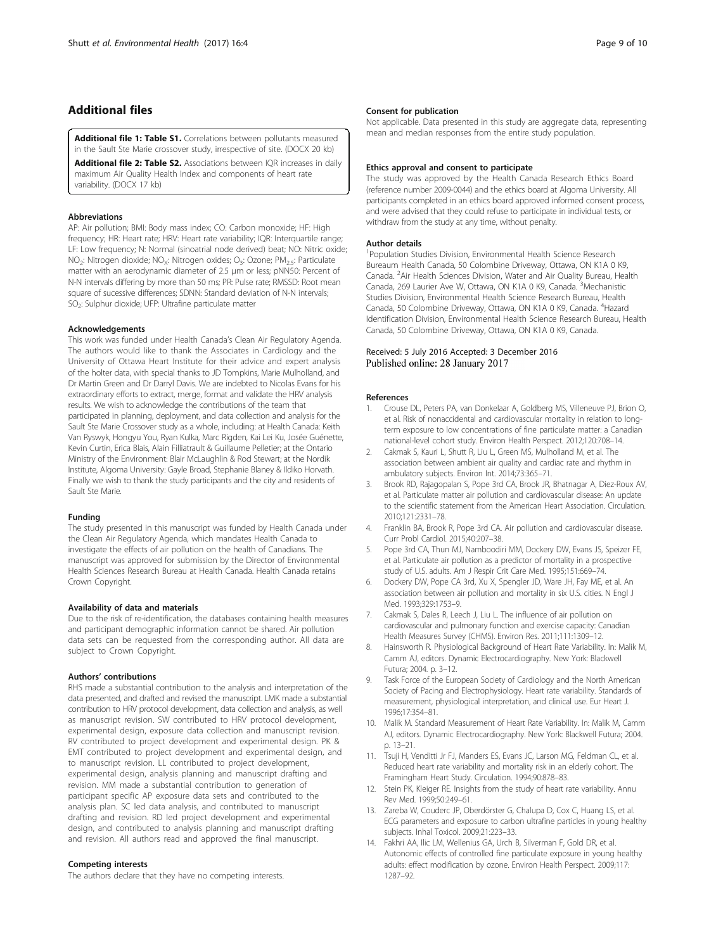# <span id="page-8-0"></span>Additional files

[Additional file 1: Table S1.](dx.doi.org/10.1186/s12940-016-0206-0) Correlations between pollutants measured in the Sault Ste Marie crossover study, irrespective of site. (DOCX 20 kb)

[Additional file 2: Table S2.](dx.doi.org/10.1186/s12940-016-0206-0) Associations between IQR increases in daily maximum Air Quality Health Index and components of heart rate variability. (DOCX 17 kb)

## **Abbreviations**

AP: Air pollution; BMI: Body mass index; CO: Carbon monoxide; HF: High frequency; HR: Heart rate; HRV: Heart rate variability; IQR: Interquartile range; LF: Low frequency; N: Normal (sinoatrial node derived) beat; NO: Nitric oxide; NO<sub>2</sub>: Nitrogen dioxide: NO<sub>x</sub>: Nitrogen oxides: O<sub>3</sub>: Ozone: PM<sub>2.5</sub>: Particulate matter with an aerodynamic diameter of 2.5 μm or less; pNN50: Percent of N-N intervals differing by more than 50 ms; PR: Pulse rate; RMSSD: Root mean square of sucessive differences; SDNN: Standard deviation of N-N intervals; SO<sub>2</sub>: Sulphur dioxide; UFP: Ultrafine particulate matter

#### Acknowledgements

This work was funded under Health Canada's Clean Air Regulatory Agenda. The authors would like to thank the Associates in Cardiology and the University of Ottawa Heart Institute for their advice and expert analysis of the holter data, with special thanks to JD Tompkins, Marie Mulholland, and Dr Martin Green and Dr Darryl Davis. We are indebted to Nicolas Evans for his extraordinary efforts to extract, merge, format and validate the HRV analysis results. We wish to acknowledge the contributions of the team that participated in planning, deployment, and data collection and analysis for the Sault Ste Marie Crossover study as a whole, including: at Health Canada: Keith Van Ryswyk, Hongyu You, Ryan Kulka, Marc Rigden, Kai Lei Ku, Josée Guénette, Kevin Curtin, Erica Blais, Alain Filliatrault & Guillaume Pelletier; at the Ontario Ministry of the Environment: Blair McLaughlin & Rod Stewart; at the Nordik Institute, Algoma University: Gayle Broad, Stephanie Blaney & Ildiko Horvath. Finally we wish to thank the study participants and the city and residents of Sault Ste Marie.

#### Funding

The study presented in this manuscript was funded by Health Canada under the Clean Air Regulatory Agenda, which mandates Health Canada to investigate the effects of air pollution on the health of Canadians. The manuscript was approved for submission by the Director of Environmental Health Sciences Research Bureau at Health Canada. Health Canada retains Crown Copyright.

# Availability of data and materials

Due to the risk of re-identification, the databases containing health measures and participant demographic information cannot be shared. Air pollution data sets can be requested from the corresponding author. All data are subject to Crown Copyright.

#### Authors' contributions

RHS made a substantial contribution to the analysis and interpretation of the data presented, and drafted and revised the manuscript. LMK made a substantial contribution to HRV protocol development, data collection and analysis, as well as manuscript revision. SW contributed to HRV protocol development, experimental design, exposure data collection and manuscript revision. RV contributed to project development and experimental design. PK & EMT contributed to project development and experimental design, and to manuscript revision. LL contributed to project development, experimental design, analysis planning and manuscript drafting and revision. MM made a substantial contribution to generation of participant specific AP exposure data sets and contributed to the analysis plan. SC led data analysis, and contributed to manuscript drafting and revision. RD led project development and experimental design, and contributed to analysis planning and manuscript drafting and revision. All authors read and approved the final manuscript.

# Competing interests

The authors declare that they have no competing interests.

#### Consent for publication

Not applicable. Data presented in this study are aggregate data, representing mean and median responses from the entire study population.

#### Ethics approval and consent to participate

The study was approved by the Health Canada Research Ethics Board (reference number 2009-0044) and the ethics board at Algoma University. All participants completed in an ethics board approved informed consent process, and were advised that they could refuse to participate in individual tests, or withdraw from the study at any time, without penalty.

#### Author details

<sup>1</sup> Population Studies Division, Environmental Health Science Research Bureaum Health Canada, 50 Colombine Driveway, Ottawa, ON K1A 0 K9, Canada. <sup>2</sup> Air Health Sciences Division, Water and Air Quality Bureau, Health Canada, 269 Laurier Ave W, Ottawa, ON K1A 0 K9, Canada. <sup>3</sup>Mechanistic Studies Division, Environmental Health Science Research Bureau, Health Canada, 50 Colombine Driveway, Ottawa, ON K1A 0 K9, Canada. <sup>4</sup>Hazard Identification Division, Environmental Health Science Research Bureau, Health Canada, 50 Colombine Driveway, Ottawa, ON K1A 0 K9, Canada.

# Received: 5 July 2016 Accepted: 3 December 2016 Published online: 28 January 2017

#### References

- 1. Crouse DL, Peters PA, van Donkelaar A, Goldberg MS, Villeneuve PJ, Brion O, et al. Risk of nonaccidental and cardiovascular mortality in relation to longterm exposure to low concentrations of fine particulate matter: a Canadian national-level cohort study. Environ Health Perspect. 2012;120:708–14.
- 2. Cakmak S, Kauri L, Shutt R, Liu L, Green MS, Mulholland M, et al. The association between ambient air quality and cardiac rate and rhythm in ambulatory subjects. Environ Int. 2014;73:365–71.
- 3. Brook RD, Rajagopalan S, Pope 3rd CA, Brook JR, Bhatnagar A, Diez-Roux AV, et al. Particulate matter air pollution and cardiovascular disease: An update to the scientific statement from the American Heart Association. Circulation. 2010;121:2331–78.
- 4. Franklin BA, Brook R, Pope 3rd CA. Air pollution and cardiovascular disease. Curr Probl Cardiol. 2015;40:207–38.
- 5. Pope 3rd CA, Thun MJ, Namboodiri MM, Dockery DW, Evans JS, Speizer FE, et al. Particulate air pollution as a predictor of mortality in a prospective study of U.S. adults. Am J Respir Crit Care Med. 1995;151:669–74.
- 6. Dockery DW, Pope CA 3rd, Xu X, Spengler JD, Ware JH, Fay ME, et al. An association between air pollution and mortality in six U.S. cities. N Engl J Med. 1993;329:1753–9.
- 7. Cakmak S, Dales R, Leech J, Liu L. The influence of air pollution on cardiovascular and pulmonary function and exercise capacity: Canadian Health Measures Survey (CHMS). Environ Res. 2011;111:1309–12.
- 8. Hainsworth R. Physiological Background of Heart Rate Variability. In: Malik M, Camm AJ, editors. Dynamic Electrocardiography. New York: Blackwell Futura; 2004. p. 3–12.
- 9. Task Force of the European Society of Cardiology and the North American Society of Pacing and Electrophysiology. Heart rate variability. Standards of measurement, physiological interpretation, and clinical use. Eur Heart J. 1996;17:354–81.
- 10. Malik M. Standard Measurement of Heart Rate Variability. In: Malik M, Camm AJ, editors. Dynamic Electrocardiography. New York: Blackwell Futura; 2004. p. 13–21.
- 11. Tsuji H, Venditti Jr FJ, Manders ES, Evans JC, Larson MG, Feldman CL, et al. Reduced heart rate variability and mortality risk in an elderly cohort. The Framingham Heart Study. Circulation. 1994;90:878–83.
- 12. Stein PK, Kleiger RE. Insights from the study of heart rate variability. Annu Rev Med. 1999;50:249–61.
- 13. Zareba W, Couderc JP, Oberdörster G, Chalupa D, Cox C, Huang LS, et al. ECG parameters and exposure to carbon ultrafine particles in young healthy subjects. Inhal Toxicol. 2009;21:223–33.
- 14. Fakhri AA, Ilic LM, Wellenius GA, Urch B, Silverman F, Gold DR, et al. Autonomic effects of controlled fine particulate exposure in young healthy adults: effect modification by ozone. Environ Health Perspect. 2009;117: 1287–92.